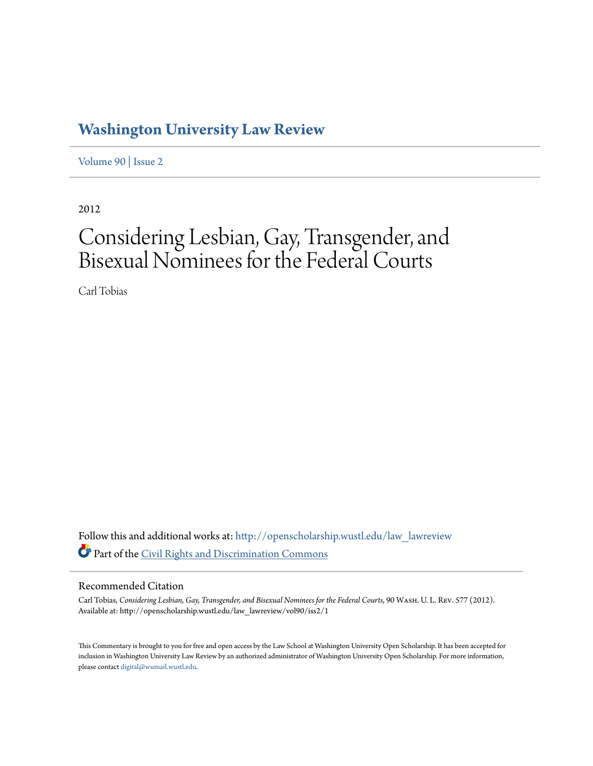## **[Washington University Law Review](http://openscholarship.wustl.edu/law_lawreview?utm_source=openscholarship.wustl.edu%2Flaw_lawreview%2Fvol90%2Fiss2%2F1&utm_medium=PDF&utm_campaign=PDFCoverPages)**

[Volume 90](http://openscholarship.wustl.edu/law_lawreview/vol90?utm_source=openscholarship.wustl.edu%2Flaw_lawreview%2Fvol90%2Fiss2%2F1&utm_medium=PDF&utm_campaign=PDFCoverPages) | [Issue 2](http://openscholarship.wustl.edu/law_lawreview/vol90/iss2?utm_source=openscholarship.wustl.edu%2Flaw_lawreview%2Fvol90%2Fiss2%2F1&utm_medium=PDF&utm_campaign=PDFCoverPages)

2012

# Considering Lesbian, Gay, Transgender, and Bisexual Nominees for the Federal Courts

Carl Tobias

Follow this and additional works at: [http://openscholarship.wustl.edu/law\\_lawreview](http://openscholarship.wustl.edu/law_lawreview?utm_source=openscholarship.wustl.edu%2Flaw_lawreview%2Fvol90%2Fiss2%2F1&utm_medium=PDF&utm_campaign=PDFCoverPages) Part of the [Civil Rights and Discrimination Commons](http://network.bepress.com/hgg/discipline/585?utm_source=openscholarship.wustl.edu%2Flaw_lawreview%2Fvol90%2Fiss2%2F1&utm_medium=PDF&utm_campaign=PDFCoverPages)

#### Recommended Citation

Carl Tobias, *Considering Lesbian, Gay, Transgender, and Bisexual Nominees for the Federal Courts*, 90 Wash. U. L. Rev. 577 (2012). Available at: http://openscholarship.wustl.edu/law\_lawreview/vol90/iss2/1

This Commentary is brought to you for free and open access by the Law School at Washington University Open Scholarship. It has been accepted for inclusion in Washington University Law Review by an authorized administrator of Washington University Open Scholarship. For more information, please contact [digital@wumail.wustl.edu.](mailto:digital@wumail.wustl.edu)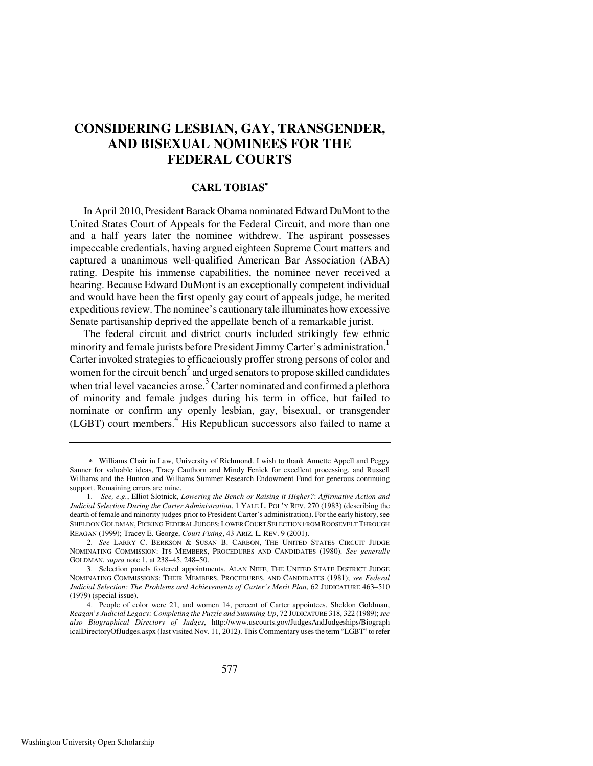### **CONSIDERING LESBIAN, GAY, TRANSGENDER, AND BISEXUAL NOMINEES FOR THE FEDERAL COURTS**

#### **CARL TOBIAS**<sup>∗</sup>

In April 2010, President Barack Obama nominated Edward DuMont to the United States Court of Appeals for the Federal Circuit, and more than one and a half years later the nominee withdrew. The aspirant possesses impeccable credentials, having argued eighteen Supreme Court matters and captured a unanimous well-qualified American Bar Association (ABA) rating. Despite his immense capabilities, the nominee never received a hearing. Because Edward DuMont is an exceptionally competent individual and would have been the first openly gay court of appeals judge, he merited expeditious review. The nominee's cautionary tale illuminates how excessive Senate partisanship deprived the appellate bench of a remarkable jurist.

The federal circuit and district courts included strikingly few ethnic minority and female jurists before President Jimmy Carter's administration.<sup>1</sup> Carter invoked strategies to efficaciously proffer strong persons of color and women for the circuit bench<sup>2</sup> and urged senators to propose skilled candidates when trial level vacancies arose.<sup>3</sup> Carter nominated and confirmed a plethora of minority and female judges during his term in office, but failed to nominate or confirm any openly lesbian, gay, bisexual, or transgender (LGBT) court members.<sup>4</sup> His Republican successors also failed to name a

<sup>∗</sup> Williams Chair in Law, University of Richmond. I wish to thank Annette Appell and Peggy Sanner for valuable ideas, Tracy Cauthorn and Mindy Fenick for excellent processing, and Russell Williams and the Hunton and Williams Summer Research Endowment Fund for generous continuing support. Remaining errors are mine.

 <sup>1.</sup> *See, e.g.*, Elliot Slotnick, *Lowering the Bench or Raising it Higher?*: *Affirmative Action and Judicial Selection During the Carter Administration*, 1 YALE L. POL'Y REV. 270 (1983) (describing the dearth of female and minority judges prior to President Carter's administration). For the early history, see SHELDON GOLDMAN, PICKING FEDERAL JUDGES:LOWER COURT SELECTION FROM ROOSEVELT THROUGH REAGAN (1999); Tracey E. George, *Court Fixing*, 43 ARIZ. L. REV. 9 (2001).

 <sup>2.</sup> *See* LARRY C. BERKSON & SUSAN B. CARBON, THE UNITED STATES CIRCUIT JUDGE NOMINATING COMMISSION: ITS MEMBERS, PROCEDURES AND CANDIDATES (1980). *See generally* GOLDMAN, *supra* note 1, at 238–45, 248–50.

 <sup>3.</sup> Selection panels fostered appointments. ALAN NEFF, THE UNITED STATE DISTRICT JUDGE NOMINATING COMMISSIONS: THEIR MEMBERS, PROCEDURES, AND CANDIDATES (1981); *see Federal Judicial Selection: The Problems and Achievements of Carter's Merit Plan*, 62 JUDICATURE 463–510 (1979) (special issue).

 <sup>4.</sup> People of color were 21, and women 14, percent of Carter appointees. Sheldon Goldman, *Reagan*'*s Judicial Legacy: Completing the Puzzle and Summing Up*, 72 JUDICATURE 318, 322 (1989); *see also Biographical Directory of Judges*, http://www.uscourts.gov/JudgesAndJudgeships/Biograph icalDirectoryOfJudges.aspx (last visited Nov. 11, 2012). This Commentary uses the term "LGBT" to refer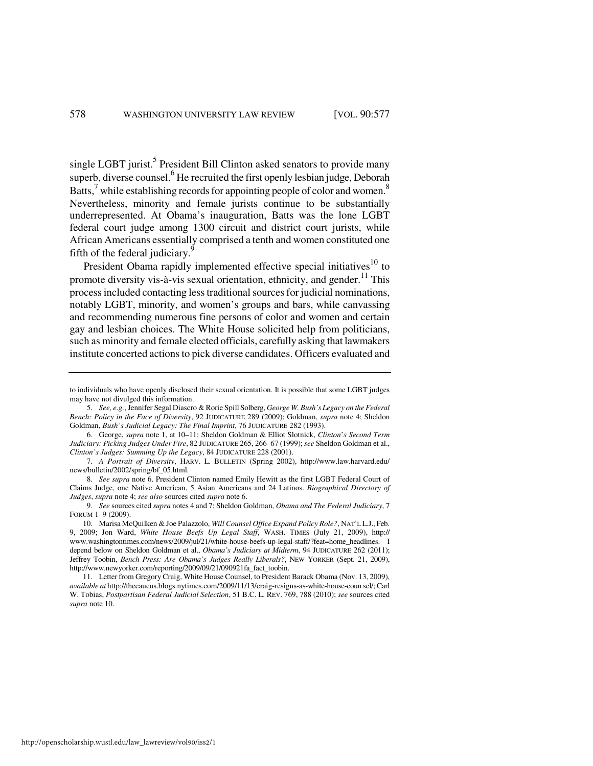single LGBT jurist.<sup>5</sup> President Bill Clinton asked senators to provide many superb, diverse counsel.<sup>6</sup> He recruited the first openly lesbian judge, Deborah Batts, $^7$  while establishing records for appointing people of color and women.<sup>8</sup> Nevertheless, minority and female jurists continue to be substantially underrepresented. At Obama's inauguration, Batts was the lone LGBT federal court judge among 1300 circuit and district court jurists, while African Americans essentially comprised a tenth and women constituted one fifth of the federal judiciary.<sup>9</sup>

President Obama rapidly implemented effective special initiatives<sup>10</sup> to promote diversity vis-à-vis sexual orientation, ethnicity, and gender.<sup>11</sup> This process included contacting less traditional sources for judicial nominations, notably LGBT, minority, and women's groups and bars, while canvassing and recommending numerous fine persons of color and women and certain gay and lesbian choices. The White House solicited help from politicians, such as minority and female elected officials, carefully asking that lawmakers institute concerted actions to pick diverse candidates. Officers evaluated and

to individuals who have openly disclosed their sexual orientation. It is possible that some LGBT judges may have not divulged this information.

 <sup>5.</sup> *See, e.g.*, Jennifer Segal Diascro & Rorie Spill Solberg, *George W. Bush's Legacy on the Federal Bench: Policy in the Face of Diversity*, 92 JUDICATURE 289 (2009); Goldman, *supra* note 4; Sheldon Goldman, *Bush's Judicial Legacy: The Final Imprint*, 76 JUDICATURE 282 (1993).

 <sup>6.</sup> George, *supra* note 1, at 10–11; Sheldon Goldman & Elliot Slotnick, *Clinton*'*s Second Term Judiciary: Picking Judges Under Fire*, 82 JUDICATURE 265, 266–67 (1999); *see* Sheldon Goldman et al., *Clinton's Judges: Summing Up the Legacy*, 84 JUDICATURE 228 (2001).

 <sup>7.</sup> *A Portrait of Diversity*, HARV. L. BULLETIN (Spring 2002), http://www.law.harvard.edu/ news/bulletin/2002/spring/bf\_05.html.

 <sup>8.</sup> *See supra* note 6. President Clinton named Emily Hewitt as the first LGBT Federal Court of Claims Judge, one Native American, 5 Asian Americans and 24 Latinos. *Biographical Directory of Judges*, *supra* note 4; *see also* sources cited *supra* note 6.

 <sup>9.</sup> *See* sources cited *supra* notes 4 and 7; Sheldon Goldman, *Obama and The Federal Judiciary*, 7 FORUM 1–9 (2009).

 <sup>10.</sup> Marisa McQuilken & Joe Palazzolo, *Will Counsel Office Expand Policy Role?*, NAT'L L.J., Feb. 9, 2009; Jon Ward, *White House Beefs Up Legal Staff*, WASH. TIMES (July 21, 2009), http:// www.washingtontimes.com/news/2009/jul/21/white-house-beefs-up-legal-staff/?feat=home\_headlines. I depend below on Sheldon Goldman et al., *Obama's Judiciary at Midterm*, 94 JUDICATURE 262 (2011); Jeffrey Toobin, *Bench Press: Are Obama's Judges Really Liberals?*, NEW YORKER (Sept. 21, 2009), http://www.newyorker.com/reporting/2009/09/21/090921fa\_fact\_toobin.

 <sup>11.</sup> Letter from Gregory Craig, White House Counsel, to President Barack Obama (Nov. 13, 2009), *available at* http://thecaucus.blogs.nytimes.com/2009/11/13/craig-resigns-as-white-house-coun sel/; Carl W. Tobias, *Postpartisan Federal Judicial Selection*, 51 B.C. L. REV. 769, 788 (2010); *see* sources cited *supra* note 10.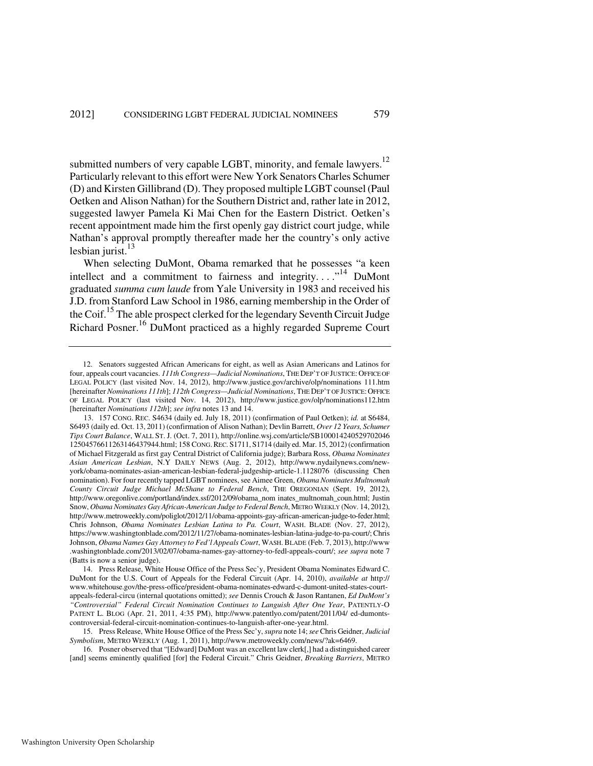submitted numbers of very capable LGBT, minority, and female lawyers.<sup>12</sup> Particularly relevant to this effort were New York Senators Charles Schumer (D) and Kirsten Gillibrand (D). They proposed multiple LGBT counsel (Paul Oetken and Alison Nathan) for the Southern District and, rather late in 2012, suggested lawyer Pamela Ki Mai Chen for the Eastern District. Oetken's recent appointment made him the first openly gay district court judge, while Nathan's approval promptly thereafter made her the country's only active lesbian jurist. $^{13}$ 

When selecting DuMont, Obama remarked that he possesses "a keen intellect and a commitment to fairness and integrity...."<sup>14</sup> DuMont graduated *summa cum laude* from Yale University in 1983 and received his J.D. from Stanford Law School in 1986, earning membership in the Order of the Coif.<sup>15</sup> The able prospect clerked for the legendary Seventh Circuit Judge Richard Posner.<sup>16</sup> DuMont practiced as a highly regarded Supreme Court

 16. Posner observed that "[Edward] DuMont was an excellent law clerk[,] had a distinguished career [and] seems eminently qualified [for] the Federal Circuit." Chris Geidner, *Breaking Barriers*, METRO

 <sup>12.</sup> Senators suggested African Americans for eight, as well as Asian Americans and Latinos for four, appeals court vacancies. *111th Congress—Judicial Nominations*, THE DEP'T OF JUSTICE: OFFICE OF LEGAL POLICY (last visited Nov. 14, 2012), http://www.justice.gov/archive/olp/nominations 111.htm [hereinafter *Nominations 111th*]; *112th Congress—Judicial Nominations*, THE DEP'T OF JUSTICE: OFFICE OF LEGAL POLICY (last visited Nov. 14, 2012), http://www.justice.gov/olp/nominations112.htm [hereinafter *Nominations 112th*]; *see infra* notes 13 and 14.

 <sup>13. 157</sup> CONG. REC. S4634 (daily ed. July 18, 2011) (confirmation of Paul Oetken); *id.* at S6484, S6493 (daily ed. Oct. 13, 2011) (confirmation of Alison Nathan); Devlin Barrett, *Over 12 Years, Schumer Tips Court Balance*, WALL ST. J. (Oct. 7, 2011), http://online.wsj.com/article/SB100014240529702046 12504576611263146437944.html; 158 CONG.REC. S1711, S1714 (daily ed. Mar. 15, 2012) (confirmation of Michael Fitzgerald as first gay Central District of California judge); Barbara Ross, *Obama Nominates Asian American Lesbian*, N.Y DAILY NEWS (Aug. 2, 2012), http://www.nydailynews.com/newyork/obama-nominates-asian-american-lesbian-federal-judgeship-article-1.1128076 (discussing Chen nomination). For four recently tapped LGBT nominees, see Aimee Green, *Obama Nominates Multnomah County Circuit Judge Michael McShane to Federal Bench*, THE OREGONIAN (Sept. 19, 2012), http://www.oregonlive.com/portland/index.ssf/2012/09/obama\_nom inates\_multnomah\_coun.html; Justin Snow, *Obama Nominates Gay African-American Judge to Federal Bench*, METRO WEEKLY (Nov. 14, 2012), http://www.metroweekly.com/poliglot/2012/11/obama-appoints-gay-african-american-judge-to-feder.html; Chris Johnson, *Obama Nominates Lesbian Latina to Pa. Court*, WASH. BLADE (Nov. 27, 2012), https://www.washingtonblade.com/2012/11/27/obama-nominates-lesbian-latina-judge-to-pa-court/; Chris Johnson, *Obama Names Gay Attorney to Fed'l Appeals Court*, WASH. BLADE (Feb. 7, 2013), http://www .washingtonblade.com/2013/02/07/obama-names-gay-attorney-to-fedl-appeals-court/; *see supra* note 7 (Batts is now a senior judge).

 <sup>14.</sup> Press Release, White House Office of the Press Sec'y, President Obama Nominates Edward C. DuMont for the U.S. Court of Appeals for the Federal Circuit (Apr. 14, 2010), *available at* http:// www.whitehouse.gov/the-press-office/president-obama-nominates-edward-c-dumont-united-states-courtappeals-federal-circu (internal quotations omitted); *see* Dennis Crouch & Jason Rantanen, *Ed DuMont's "Controversial" Federal Circuit Nomination Continues to Languish After One Year*, PATENTLY-O PATENT L. BLOG (Apr. 21, 2011, 4:35 PM), http://www.patentlyo.com/patent/2011/04/ ed-dumontscontroversial-federal-circuit-nomination-continues-to-languish-after-one-year.html.

 <sup>15.</sup> Press Release, White House Office of the Press Sec'y, *supra* note 14; *see* Chris Geidner, *Judicial Symbolism*, METRO WEEKLY (Aug. 1, 2011), http://www.metroweekly.com/news/?ak=6469.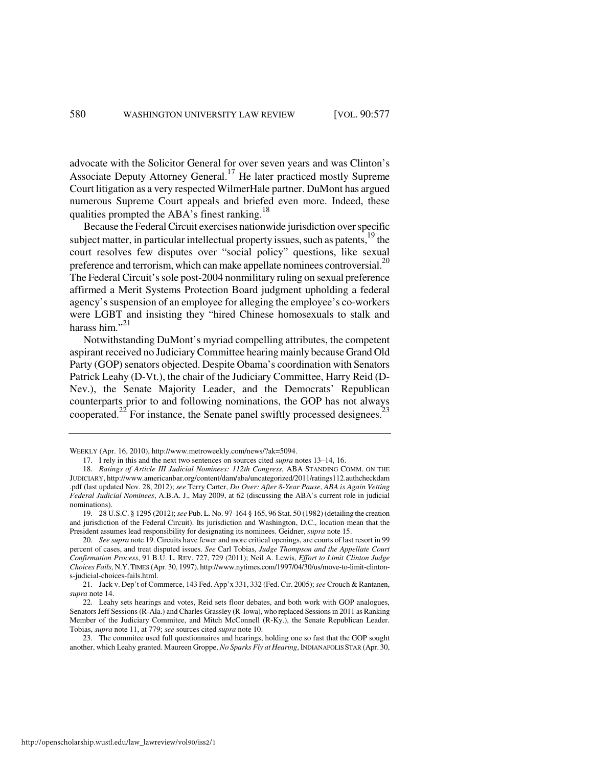advocate with the Solicitor General for over seven years and was Clinton's Associate Deputy Attorney General.17 He later practiced mostly Supreme Court litigation as a very respected WilmerHale partner. DuMont has argued numerous Supreme Court appeals and briefed even more. Indeed, these qualities prompted the ABA's finest ranking.<sup>18</sup>

Because the Federal Circuit exercises nationwide jurisdiction over specific subject matter, in particular intellectual property issues, such as patents, $19$ <sup>the</sup> court resolves few disputes over "social policy" questions, like sexual preference and terrorism, which can make appellate nominees controversial.<sup>20</sup> The Federal Circuit's sole post-2004 nonmilitary ruling on sexual preference affirmed a Merit Systems Protection Board judgment upholding a federal agency's suspension of an employee for alleging the employee's co-workers were LGBT and insisting they "hired Chinese homosexuals to stalk and harass him $^{321}$ 

Notwithstanding DuMont's myriad compelling attributes, the competent aspirant received no Judiciary Committee hearing mainly because Grand Old Party (GOP) senators objected. Despite Obama's coordination with Senators Patrick Leahy (D-Vt.), the chair of the Judiciary Committee, Harry Reid (D-Nev.), the Senate Majority Leader, and the Democrats' Republican counterparts prior to and following nominations, the GOP has not always cooperated.<sup>22</sup> For instance, the Senate panel swiftly processed designees.<sup>23</sup>

WEEKLY (Apr. 16, 2010), http://www.metroweekly.com/news/?ak=5094.

 <sup>17.</sup> I rely in this and the next two sentences on sources cited *supra* notes 13–14, 16.

 <sup>18.</sup> *Ratings of Article III Judicial Nominees: 112th Congress*, ABA STANDING COMM. ON THE JUDICIARY, http://www.americanbar.org/content/dam/aba/uncategorized/2011/ratings112.authcheckdam .pdf (last updated Nov. 28, 2012); *see* Terry Carter, *Do Over: After 8-Year Pause*, *ABA is Again Vetting Federal Judicial Nominees*, A.B.A. J., May 2009, at 62 (discussing the ABA's current role in judicial nominations).

 <sup>19. 28</sup> U.S.C. § 1295 (2012); *see* Pub. L. No. 97-164 § 165, 96 Stat. 50 (1982) (detailing the creation and jurisdiction of the Federal Circuit). Its jurisdiction and Washington, D.C., location mean that the President assumes lead responsibility for designating its nominees. Geidner, *supra* note 15.

 <sup>20.</sup> *See supra* note 19. Circuits have fewer and more critical openings, are courts of last resort in 99 percent of cases, and treat disputed issues. *See* Carl Tobias, *Judge Thompson and the Appellate Court Confirmation Process*, 91 B.U. L. REV. 727, 729 (2011); Neil A. Lewis, *Effort to Limit Clinton Judge Choices Fails*, N.Y.TIMES (Apr. 30, 1997), http://www.nytimes.com/1997/04/30/us/move-to-limit-clintons-judicial-choices-fails.html.

 <sup>21.</sup> Jack v. Dep't of Commerce, 143 Fed. App'x 331, 332 (Fed. Cir. 2005); *see* Crouch & Rantanen, *supra* note 14.

 <sup>22.</sup> Leahy sets hearings and votes, Reid sets floor debates, and both work with GOP analogues, Senators Jeff Sessions (R-Ala.) and Charles Grassley (R-Iowa), who replaced Sessions in 2011 as Ranking Member of the Judiciary Commitee, and Mitch McConnell (R-Ky.), the Senate Republican Leader. Tobias, *supra* note 11, at 779; *see* sources cited *supra* note 10.

 <sup>23.</sup> The commitee used full questionnaires and hearings, holding one so fast that the GOP sought another, which Leahy granted. Maureen Groppe, *No Sparks Fly at Hearing*, INDIANAPOLIS STAR (Apr. 30,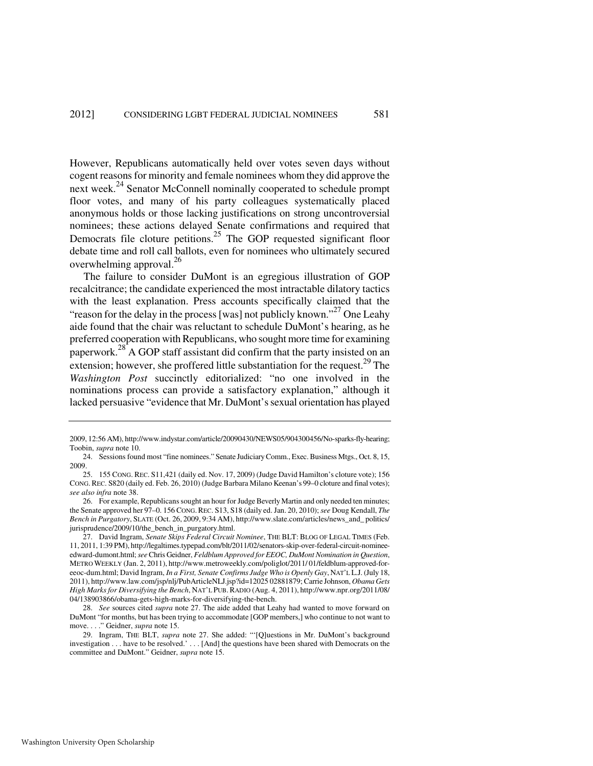However, Republicans automatically held over votes seven days without cogent reasons for minority and female nominees whom they did approve the next week.<sup>24</sup> Senator McConnell nominally cooperated to schedule prompt floor votes, and many of his party colleagues systematically placed anonymous holds or those lacking justifications on strong uncontroversial nominees; these actions delayed Senate confirmations and required that Democrats file cloture petitions.<sup>25</sup> The GOP requested significant floor debate time and roll call ballots, even for nominees who ultimately secured overwhelming approval.<sup>26</sup>

The failure to consider DuMont is an egregious illustration of GOP recalcitrance; the candidate experienced the most intractable dilatory tactics with the least explanation. Press accounts specifically claimed that the "reason for the delay in the process [was] not publicly known."<sup>27</sup> One Leahy aide found that the chair was reluctant to schedule DuMont's hearing, as he preferred cooperation with Republicans, who sought more time for examining paperwork. $^{28}$  A GOP staff assistant did confirm that the party insisted on an extension; however, she proffered little substantiation for the request.<sup>29</sup> The *Washington Post* succinctly editorialized: "no one involved in the nominations process can provide a satisfactory explanation," although it lacked persuasive "evidence that Mr. DuMont's sexual orientation has played

<sup>2009, 12:56</sup> AM), http://www.indystar.com/article/20090430/NEWS05/904300456/No-sparks-fly-hearing; Toobin, *supra* note 10.

 <sup>24.</sup> Sessions found most "fine nominees." Senate Judiciary Comm., Exec. Business Mtgs., Oct. 8, 15, 2009.

 <sup>25. 155</sup> CONG. REC. S11,421 (daily ed. Nov. 17, 2009) (Judge David Hamilton's cloture vote); 156 CONG.REC. S820 (daily ed. Feb. 26, 2010) (Judge Barbara Milano Keenan's 99–0 cloture and final votes); *see also infra* note 38.

 <sup>26.</sup> For example, Republicans sought an hour for Judge Beverly Martin and only needed ten minutes; the Senate approved her 97–0. 156 CONG.REC. S13, S18 (daily ed. Jan. 20, 2010); *see* Doug Kendall, *The Bench in Purgatory*, SLATE (Oct. 26, 2009, 9:34 AM), http://www.slate.com/articles/news\_and\_ politics/ jurisprudence/2009/10/the\_bench\_in\_purgatory.html.

 <sup>27.</sup> David Ingram, *Senate Skips Federal Circuit Nominee*, THE BLT: BLOG OF LEGAL TIMES (Feb. 11, 2011, 1:39 PM), http://legaltimes.typepad.com/blt/2011/02/senators-skip-over-federal-circuit-nomineeedward-dumont.html; *see* Chris Geidner, *Feldblum Approved for EEOC, DuMont Nomination in Question*, METRO WEEKLY (Jan. 2, 2011), http://www.metroweekly.com/poliglot/2011/ 01/feldblum-approved-foreeoc-dum.html; David Ingram, *In a First, Senate Confirms Judge Who is Openly Gay*, NAT'L L.J. (July 18, 2011), http://www.law.com/jsp/nlj/PubArticleNLJ.jsp?id=12025 02881879; Carrie Johnson, *Obama Gets High Marks for Diversifying the Bench*, NAT'L PUB.RADIO (Aug. 4, 2011), http://www.npr.org/2011/08/ 04/138903866/obama-gets-high-marks-for-diversifying-the-bench.

 <sup>28.</sup> *See* sources cited *supra* note 27. The aide added that Leahy had wanted to move forward on DuMont "for months, but has been trying to accommodate [GOP members,] who continue to not want to move. . . ." Geidner, *supra* note 15.

 <sup>29.</sup> Ingram, THE BLT, *supra* note 27. She added: "'[Q]uestions in Mr. DuMont's background investigation . . . have to be resolved.' . . . [And] the questions have been shared with Democrats on the committee and DuMont." Geidner, *supra* note 15.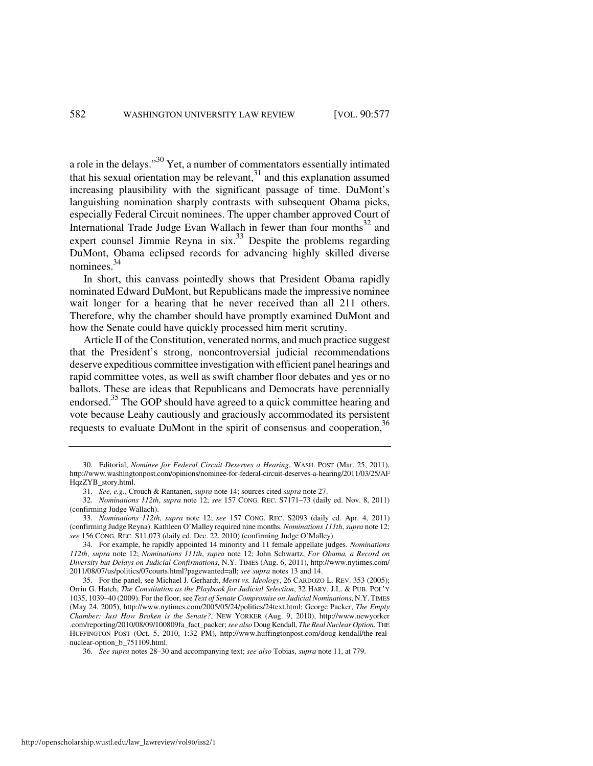a role in the delays."30 Yet, a number of commentators essentially intimated that his sexual orientation may be relevant, $31$  and this explanation assumed increasing plausibility with the significant passage of time. DuMont's languishing nomination sharply contrasts with subsequent Obama picks, especially Federal Circuit nominees. The upper chamber approved Court of International Trade Judge Evan Wallach in fewer than four months $32$  and expert counsel Jimmie Reyna in  $six$ <sup>33</sup> Despite the problems regarding DuMont, Obama eclipsed records for advancing highly skilled diverse nominees.<sup>34</sup>

In short, this canvass pointedly shows that President Obama rapidly nominated Edward DuMont, but Republicans made the impressive nominee wait longer for a hearing that he never received than all 211 others. Therefore, why the chamber should have promptly examined DuMont and how the Senate could have quickly processed him merit scrutiny.

Article II of the Constitution, venerated norms, and much practice suggest that the President's strong, noncontroversial judicial recommendations deserve expeditious committee investigation with efficient panel hearings and rapid committee votes, as well as swift chamber floor debates and yes or no ballots. These are ideas that Republicans and Democrats have perennially endorsed.<sup>35</sup> The GOP should have agreed to a quick committee hearing and vote because Leahy cautiously and graciously accommodated its persistent requests to evaluate DuMont in the spirit of consensus and cooperation,<sup>36</sup>

 <sup>30.</sup> Editorial, *Nominee for Federal Circuit Deserves a Hearing*, WASH. POST (Mar. 25, 2011), http://www.washingtonpost.com/opinions/nominee-for-federal-circuit-deserves-a-hearing/2011/03/25/AF HqzZYB\_story.html.

 <sup>31.</sup> *See, e.g.*, Crouch & Rantanen, *supra* note 14; sources cited *supra* note 27.

 <sup>32.</sup> *Nominations 112th*, *supra* note 12; *see* 157 CONG. REC. S7171–73 (daily ed. Nov. 8, 2011) (confirming Judge Wallach).

 <sup>33.</sup> *Nominations 112th*, *supra* note 12; *see* 157 CONG. REC. S2093 (daily ed. Apr. 4, 2011) (confirming Judge Reyna). Kathleen O'Malley required nine months. *Nominations 111th*, *supra* note 12; *see* 156 CONG. REC. S11,073 (daily ed. Dec. 22, 2010) (confirming Judge O'Malley).

 <sup>34.</sup> For example, he rapidly appointed 14 minority and 11 female appellate judges. *Nominations 112th*, *supra* note 12; *Nominations 111th*, *supra* note 12; John Schwartz, *For Obama, a Record on Diversity but Delays on Judicial Confirmations*, N.Y. TIMES (Aug. 6, 2011), http://www.nytimes.com/ 2011/08/07/us/politics/07courts.html?pagewanted=all; *see supra* notes 13 and 14.

 <sup>35.</sup> For the panel, see Michael J. Gerhardt, *Merit vs. Ideology*, 26 CARDOZO L. REV. 353 (2005); Orrin G. Hatch, *The Constitution as the Playbook for Judicial Selection*, 32 HARV. J.L. & PUB. POL'Y 1035, 1039–40 (2009). For the floor, see *Text of Senate Compromise on Judicial Nominations*, N.Y. TIMES (May 24, 2005), http://www.nytimes.com/2005/05/24/politics/24text.html; George Packer, *The Empty Chamber: Just How Broken is the Senate?*, NEW YORKER (Aug. 9, 2010), http://www.newyorker .com/reporting/2010/08/09/100809fa\_fact\_packer; *see also* Doug Kendall, *The Real Nuclear Option*, THE HUFFINGTON POST (Oct. 5, 2010, 1:32 PM), http://www.huffingtonpost.com/doug-kendall/the-realnuclear-option\_b\_751109.html.

 <sup>36.</sup> *See supra* notes 28–30 and accompanying text; *see also* Tobias, *supra* note 11, at 779.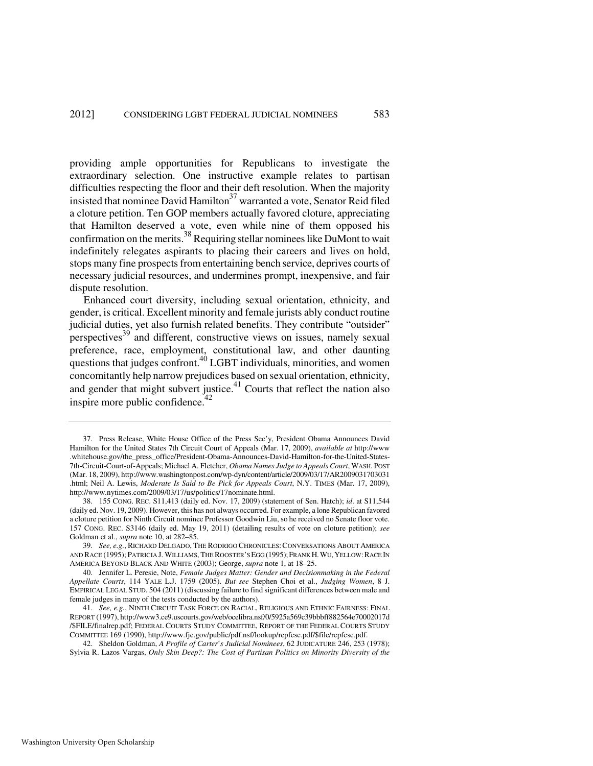providing ample opportunities for Republicans to investigate the extraordinary selection. One instructive example relates to partisan difficulties respecting the floor and their deft resolution. When the majority insisted that nominee David Hamilton $37$  warranted a vote, Senator Reid filed a cloture petition. Ten GOP members actually favored cloture, appreciating that Hamilton deserved a vote, even while nine of them opposed his confirmation on the merits.<sup>38</sup> Requiring stellar nominees like DuMont to wait indefinitely relegates aspirants to placing their careers and lives on hold, stops many fine prospects from entertaining bench service, deprives courts of necessary judicial resources, and undermines prompt, inexpensive, and fair dispute resolution.

Enhanced court diversity, including sexual orientation, ethnicity, and gender, is critical. Excellent minority and female jurists ably conduct routine judicial duties, yet also furnish related benefits. They contribute "outsider" perspectives<sup>39</sup> and different, constructive views on issues, namely sexual preference, race, employment, constitutional law, and other daunting questions that judges confront.<sup>40</sup> LGBT individuals, minorities, and women concomitantly help narrow prejudices based on sexual orientation, ethnicity, and gender that might subvert justice. $41$  Courts that reflect the nation also inspire more public confidence. $42$ 

 <sup>37.</sup> Press Release, White House Office of the Press Sec'y, President Obama Announces David Hamilton for the United States 7th Circuit Court of Appeals (Mar. 17, 2009), *available at* http://www .whitehouse.gov/the\_press\_office/President-Obama-Announces-David-Hamilton-for-the-United-States-7th-Circuit-Court-of-Appeals; Michael A. Fletcher, *Obama Names Judge to Appeals Court*, WASH. POST (Mar. 18, 2009), http://www.washingtonpost.com/wp-dyn/content/article/2009/03/17/AR2009031703031 .html; Neil A. Lewis, *Moderate Is Said to Be Pick for Appeals Court*, N.Y. TIMES (Mar. 17, 2009), http://www.nytimes.com/2009/03/17/us/politics/17nominate.html.

 <sup>38. 155</sup> CONG. REC. S11,413 (daily ed. Nov. 17, 2009) (statement of Sen. Hatch); *id*. at S11,544 (daily ed. Nov. 19, 2009). However, this has not always occurred. For example, a lone Republican favored a cloture petition for Ninth Circuit nominee Professor Goodwin Liu, so he received no Senate floor vote. 157 CONG. REC. S3146 (daily ed. May 19, 2011) (detailing results of vote on cloture petition); *see* Goldman et al., *supra* note 10, at 282–85.

 <sup>39.</sup> *See, e.g.*, RICHARD DELGADO, THE RODRIGO CHRONICLES:CONVERSATIONS ABOUT AMERICA AND RACE (1995); PATRICIA J. WILLIAMS, THE ROOSTER'S EGG (1995); FRANK H. WU, YELLOW: RACE IN AMERICA BEYOND BLACK AND WHITE (2003); George, *supra* note 1, at 18–25.

 <sup>40.</sup> Jennifer L. Peresie, Note, *Female Judges Matter: Gender and Decisionmaking in the Federal Appellate Courts*, 114 YALE L.J. 1759 (2005). *But see* Stephen Choi et al., *Judging Women*, 8 J. EMPIRICAL LEGAL STUD. 504 (2011) (discussing failure to find significant differences between male and female judges in many of the tests conducted by the authors).

 <sup>41.</sup> *See, e.g.*, NINTH CIRCUIT TASK FORCE ON RACIAL, RELIGIOUS AND ETHNIC FAIRNESS: FINAL REPORT (1997), http://www3.ce9.uscourts.gov/web/ocelibra.nsf/0/5925a569c39bbbff882564e70002017d /\$FILE/finalrep.pdf; FEDERAL COURTS STUDY COMMITTEE, REPORT OF THE FEDERAL COURTS STUDY COMMITTEE 169 (1990), http://www.fjc.gov/public/pdf.nsf/lookup/repfcsc.pdf/\$file/repfcsc.pdf.

 <sup>42.</sup> Sheldon Goldman, *A Profile of Carter*'*s Judicial Nominees*, 62 JUDICATURE 246, 253 (1978); Sylvia R. Lazos Vargas, *Only Skin Deep?: The Cost of Partisan Politics on Minority Diversity of the*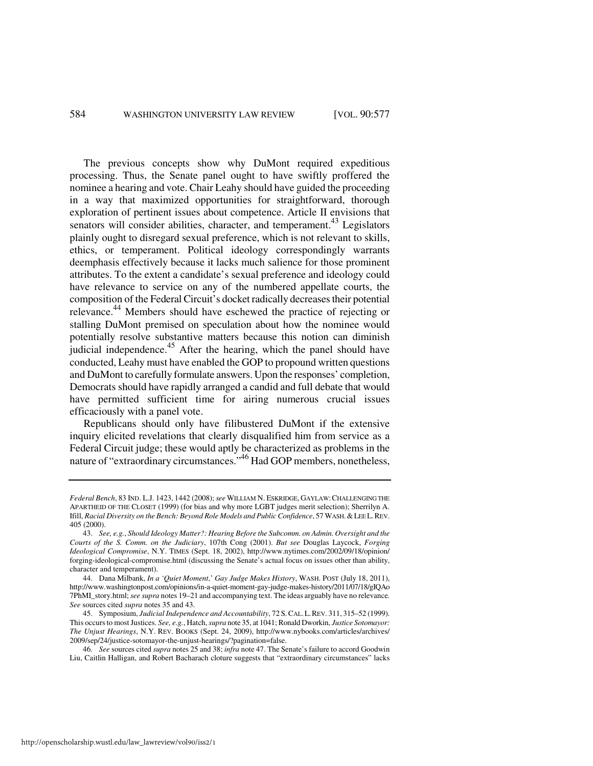The previous concepts show why DuMont required expeditious processing. Thus, the Senate panel ought to have swiftly proffered the nominee a hearing and vote. Chair Leahy should have guided the proceeding in a way that maximized opportunities for straightforward, thorough exploration of pertinent issues about competence. Article II envisions that senators will consider abilities, character, and temperament.<sup>43</sup> Legislators plainly ought to disregard sexual preference, which is not relevant to skills, ethics, or temperament. Political ideology correspondingly warrants deemphasis effectively because it lacks much salience for those prominent attributes. To the extent a candidate's sexual preference and ideology could have relevance to service on any of the numbered appellate courts, the composition of the Federal Circuit's docket radically decreases their potential relevance.<sup>44</sup> Members should have eschewed the practice of rejecting or stalling DuMont premised on speculation about how the nominee would potentially resolve substantive matters because this notion can diminish judicial independence. $45$  After the hearing, which the panel should have conducted, Leahy must have enabled the GOP to propound written questions and DuMont to carefully formulate answers. Upon the responses' completion, Democrats should have rapidly arranged a candid and full debate that would have permitted sufficient time for airing numerous crucial issues efficaciously with a panel vote.

Republicans should only have filibustered DuMont if the extensive inquiry elicited revelations that clearly disqualified him from service as a Federal Circuit judge; these would aptly be characterized as problems in the nature of "extraordinary circumstances."<sup>46</sup> Had GOP members, nonetheless,

 46. *See* sources cited *supra* notes 25 and 38; *infra* note 47. The Senate's failure to accord Goodwin Liu, Caitlin Halligan, and Robert Bacharach cloture suggests that "extraordinary circumstances" lacks

*Federal Bench*, 83 IND. L.J. 1423, 1442 (2008); *see* WILLIAM N. ESKRIDGE, GAYLAW:CHALLENGING THE APARTHEID OF THE CLOSET (1999) (for bias and why more LGBT judges merit selection); Sherrilyn A. Ifill, *Racial Diversity on the Bench: Beyond Role Models and Public Confidence*, 57 WASH.&LEE L.REV. 405 (2000).

 <sup>43.</sup> *See, e.g.*, *Should Ideology Matter?: Hearing Before the Subcomm. on Admin. Oversight and the Courts of the S. Comm. on the Judiciary*, 107th Cong (2001). *But see* Douglas Laycock, *Forging Ideological Compromise*, N.Y. TIMES (Sept. 18, 2002), http://www.nytimes.com/2002/09/18/opinion/ forging-ideological-compromise.html (discussing the Senate's actual focus on issues other than ability, character and temperament).

 <sup>44.</sup> Dana Milbank, *In a 'Quiet Moment*,' *Gay Judge Makes History*, WASH. POST (July 18, 2011), http://www.washingtonpost.com/opinions/in-a-quiet-moment-gay-judge-makes-history/2011/07/18/gIQAo 7PhMI\_story.html; *see supra* notes 19–21 and accompanying text. The ideas arguably have no relevance. *See* sources cited *supra* notes 35 and 43.

 <sup>45.</sup> Symposium, *Judicial Independence and Accountability*, 72 S.CAL.L.REV. 311, 315–52 (1999). This occurs to most Justices. *See, e.g.*, Hatch, *supra* note 35, at 1041; Ronald Dworkin, *Justice Sotomayor: The Unjust Hearings*, N.Y. REV. BOOKS (Sept. 24, 2009), http://www.nybooks.com/articles/archives/ 2009/sep/24/justice-sotomayor-the-unjust-hearings/?pagination=false.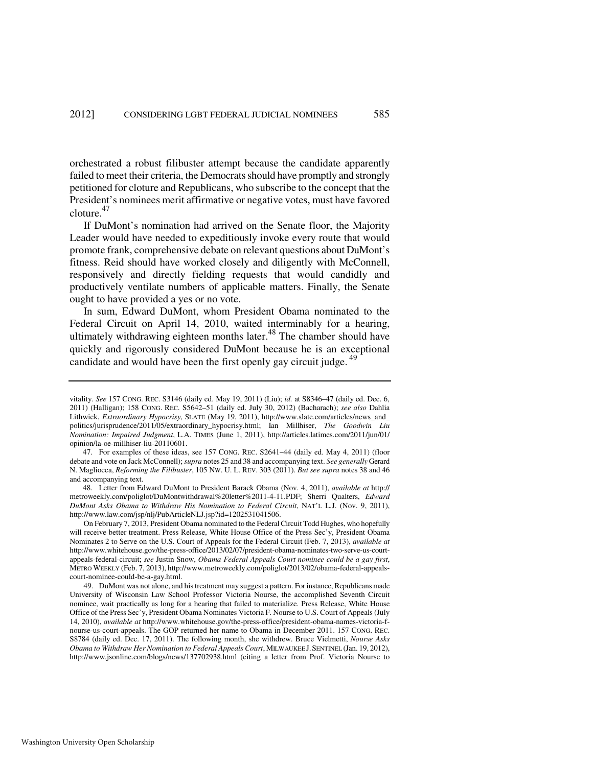orchestrated a robust filibuster attempt because the candidate apparently failed to meet their criteria, the Democrats should have promptly and strongly petitioned for cloture and Republicans, who subscribe to the concept that the President's nominees merit affirmative or negative votes, must have favored cloture.<sup>47</sup>

If DuMont's nomination had arrived on the Senate floor, the Majority Leader would have needed to expeditiously invoke every route that would promote frank, comprehensive debate on relevant questions about DuMont's fitness. Reid should have worked closely and diligently with McConnell, responsively and directly fielding requests that would candidly and productively ventilate numbers of applicable matters. Finally, the Senate ought to have provided a yes or no vote.

In sum, Edward DuMont, whom President Obama nominated to the Federal Circuit on April 14, 2010, waited interminably for a hearing, ultimately withdrawing eighteen months later.<sup>48</sup> The chamber should have quickly and rigorously considered DuMont because he is an exceptional candidate and would have been the first openly gay circuit judge.<sup>49</sup>

 48. Letter from Edward DuMont to President Barack Obama (Nov. 4, 2011), *available at* http:// metroweekly.com/poliglot/DuMontwithdrawal%20letter%2011-4-11.PDF; Sherri Qualters, *Edward DuMont Asks Obama to Withdraw His Nomination to Federal Circuit*, NAT'L L.J. (Nov. 9, 2011), http://www.law.com/jsp/nlj/PubArticleNLJ.jsp?id=1202531041506.

 On February 7, 2013, President Obama nominated to the Federal Circuit Todd Hughes, who hopefully will receive better treatment. Press Release, White House Office of the Press Sec'y, President Obama Nominates 2 to Serve on the U.S. Court of Appeals for the Federal Circuit (Feb. 7, 2013), *available at*  http://www.whitehouse.gov/the-press-office/2013/02/07/president-obama-nominates-two-serve-us-courtappeals-federal-circuit; *see* Justin Snow, *Obama Federal Appeals Court nominee could be a gay first*, METRO WEEKLY (Feb. 7, 2013), http://www.metroweekly.com/poliglot/2013/02/obama-federal-appealscourt-nominee-could-be-a-gay.html.

 49. DuMont was not alone, and his treatment may suggest a pattern. For instance, Republicans made University of Wisconsin Law School Professor Victoria Nourse, the accomplished Seventh Circuit nominee, wait practically as long for a hearing that failed to materialize. Press Release, White House Office of the Press Sec'y, President Obama Nominates Victoria F. Nourse to U.S. Court of Appeals(July 14, 2010), *available at* http://www.whitehouse.gov/the-press-office/president-obama-names-victoria-fnourse-us-court-appeals. The GOP returned her name to Obama in December 2011. 157 CONG. REC. S8784 (daily ed. Dec. 17, 2011). The following month, she withdrew. Bruce Vielmetti, *Nourse Asks Obama to Withdraw Her Nomination to Federal Appeals Court*, MILWAUKEE J.SENTINEL (Jan. 19, 2012), http://www.jsonline.com/blogs/news/137702938.html (citing a letter from Prof. Victoria Nourse to

vitality. *See* 157 CONG. REC. S3146 (daily ed. May 19, 2011) (Liu); *id.* at S8346–47 (daily ed. Dec. 6, 2011) (Halligan); 158 CONG. REC. S5642–51 (daily ed. July 30, 2012) (Bacharach); *see also* Dahlia Lithwick, *Extraordinary Hypocrisy*, SLATE (May 19, 2011), http://www.slate.com/articles/news\_and\_ politics/jurisprudence/2011/05/extraordinary\_hypocrisy.html; Ian Millhiser, *The Goodwin Liu Nomination: Impaired Judgment*, L.A. TIMES (June 1, 2011), http://articles.latimes.com/2011/jun/01/ opinion/la-oe-millhiser-liu-20110601.

 <sup>47.</sup> For examples of these ideas, see 157 CONG. REC. S2641–44 (daily ed. May 4, 2011) (floor debate and vote on Jack McConnell); *supra* notes 25 and 38 and accompanying text. *See generally* Gerard N. Magliocca, *Reforming the Filibuster*, 105 NW. U. L. REV. 303 (2011). *But see supra* notes 38 and 46 and accompanying text.